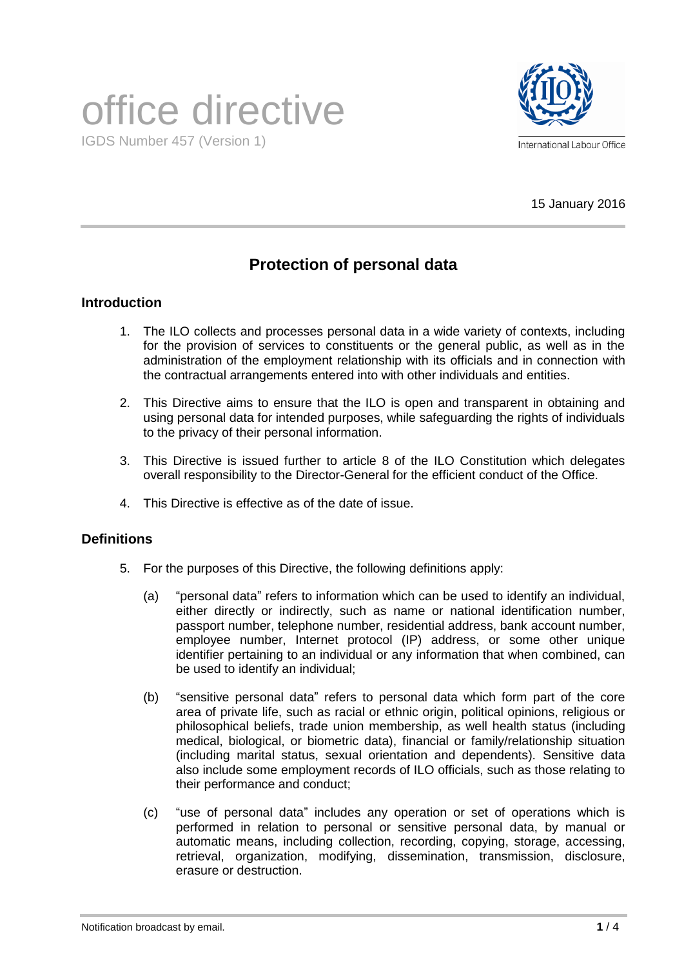# office directive IGDS Number 457 (Version 1)



15 January 2016

# **Protection of personal data**

## **Introduction**

- 1. The ILO collects and processes personal data in a wide variety of contexts, including for the provision of services to constituents or the general public, as well as in the administration of the employment relationship with its officials and in connection with the contractual arrangements entered into with other individuals and entities.
- 2. This Directive aims to ensure that the ILO is open and transparent in obtaining and using personal data for intended purposes, while safeguarding the rights of individuals to the privacy of their personal information.
- 3. This Directive is issued further to article 8 of the ILO Constitution which delegates overall responsibility to the Director-General for the efficient conduct of the Office.
- 4. This Directive is effective as of the date of issue.

#### **Definitions**

- 5. For the purposes of this Directive, the following definitions apply:
	- (a) "personal data" refers to information which can be used to identify an individual, either directly or indirectly, such as name or national identification number, passport number, telephone number, residential address, bank account number, employee number, Internet protocol (IP) address, or some other unique identifier pertaining to an individual or any information that when combined, can be used to identify an individual;
	- (b) "sensitive personal data" refers to personal data which form part of the core area of private life, such as racial or ethnic origin, political opinions, religious or philosophical beliefs, trade union membership, as well health status (including medical, biological, or biometric data), financial or family/relationship situation (including marital status, sexual orientation and dependents). Sensitive data also include some employment records of ILO officials, such as those relating to their performance and conduct;
	- (c) "use of personal data" includes any operation or set of operations which is performed in relation to personal or sensitive personal data, by manual or automatic means, including collection, recording, copying, storage, accessing, retrieval, organization, modifying, dissemination, transmission, disclosure, erasure or destruction.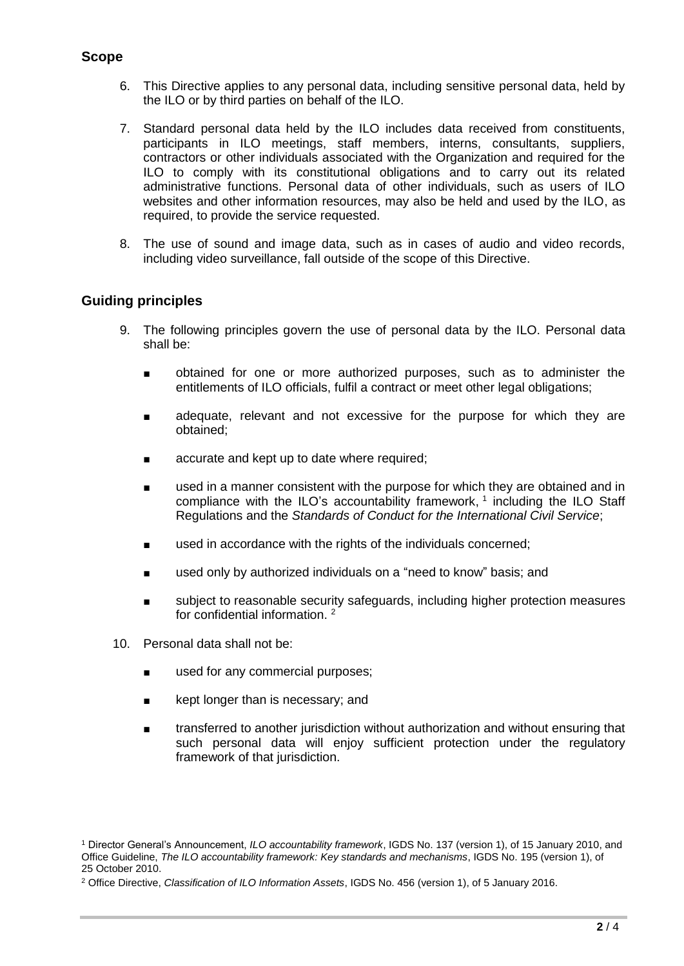## **Scope**

- 6. This Directive applies to any personal data, including sensitive personal data, held by the ILO or by third parties on behalf of the ILO.
- 7. Standard personal data held by the ILO includes data received from constituents, participants in ILO meetings, staff members, interns, consultants, suppliers, contractors or other individuals associated with the Organization and required for the ILO to comply with its constitutional obligations and to carry out its related administrative functions. Personal data of other individuals, such as users of ILO websites and other information resources, may also be held and used by the ILO, as required, to provide the service requested.
- 8. The use of sound and image data, such as in cases of audio and video records, including video surveillance, fall outside of the scope of this Directive.

## **Guiding principles**

- 9. The following principles govern the use of personal data by the ILO. Personal data shall be:
	- obtained for one or more authorized purposes, such as to administer the entitlements of ILO officials, fulfil a contract or meet other legal obligations;
	- adequate, relevant and not excessive for the purpose for which they are obtained;
	- accurate and kept up to date where required;
	- used in a manner consistent with the purpose for which they are obtained and in compliance with the ILO's accountability framework,  $1$  including the ILO Staff Regulations and the *Standards of Conduct for the International Civil Service*;
	- used in accordance with the rights of the individuals concerned;
	- used only by authorized individuals on a "need to know" basis; and
	- subject to reasonable security safeguards, including higher protection measures for confidential information. <sup>2</sup>
- 10. Personal data shall not be:
	- used for any commercial purposes;
	- kept longer than is necessary; and
	- transferred to another jurisdiction without authorization and without ensuring that such personal data will enjoy sufficient protection under the regulatory framework of that jurisdiction.

<sup>1</sup> Director General's Announcement, *ILO accountability framework*, IGDS No. 137 (version 1), of 15 January 2010, and Office Guideline, *The ILO accountability framework: Key standards and mechanisms*, IGDS No. 195 (version 1), of 25 October 2010.

<sup>2</sup> Office Directive, *Classification of ILO Information Assets*, IGDS No. 456 (version 1), of 5 January 2016.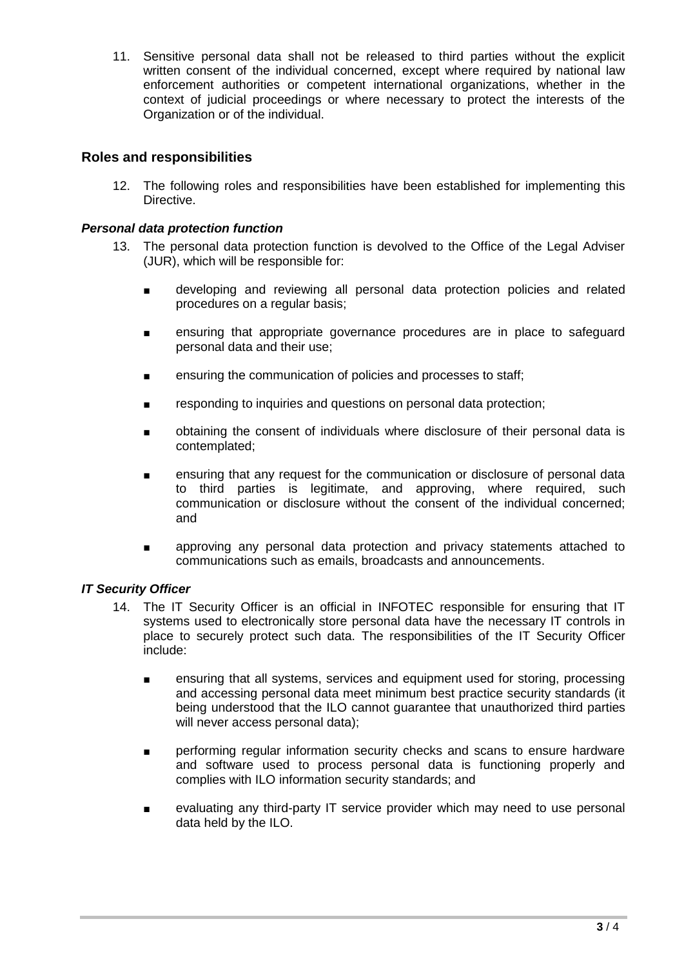11. Sensitive personal data shall not be released to third parties without the explicit written consent of the individual concerned, except where required by national law enforcement authorities or competent international organizations, whether in the context of judicial proceedings or where necessary to protect the interests of the Organization or of the individual.

#### **Roles and responsibilities**

12. The following roles and responsibilities have been established for implementing this Directive.

#### *Personal data protection function*

- 13. The personal data protection function is devolved to the Office of the Legal Adviser (JUR), which will be responsible for:
	- developing and reviewing all personal data protection policies and related procedures on a regular basis;
	- ensuring that appropriate governance procedures are in place to safeguard personal data and their use;
	- ensuring the communication of policies and processes to staff;
	- responding to inquiries and questions on personal data protection;
	- obtaining the consent of individuals where disclosure of their personal data is contemplated;
	- ensuring that any request for the communication or disclosure of personal data to third parties is legitimate, and approving, where required, such communication or disclosure without the consent of the individual concerned; and
	- approving any personal data protection and privacy statements attached to communications such as emails, broadcasts and announcements.

#### *IT Security Officer*

- 14. The IT Security Officer is an official in INFOTEC responsible for ensuring that IT systems used to electronically store personal data have the necessary IT controls in place to securely protect such data. The responsibilities of the IT Security Officer include:
	- ensuring that all systems, services and equipment used for storing, processing and accessing personal data meet minimum best practice security standards (it being understood that the ILO cannot guarantee that unauthorized third parties will never access personal data);
	- performing regular information security checks and scans to ensure hardware and software used to process personal data is functioning properly and complies with ILO information security standards; and
	- evaluating any third-party IT service provider which may need to use personal data held by the ILO.